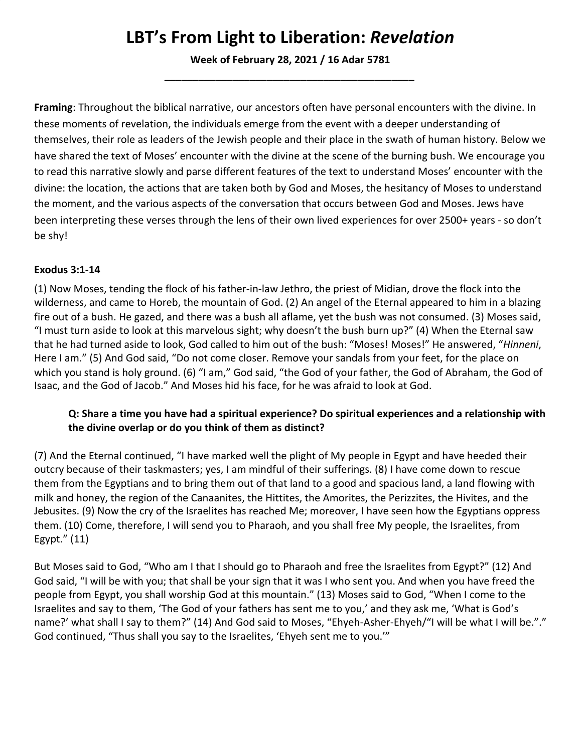## **LBT's From Light to Liberation:** *Revelation*

**Week of February 28, 2021 / 16 Adar 5781** *\_\_\_\_\_\_\_\_\_\_\_\_\_\_\_\_\_\_\_\_\_\_\_\_\_\_\_\_\_\_\_\_\_\_\_\_\_\_\_\_\_\_\_\_*

**Framing**: Throughout the biblical narrative, our ancestors often have personal encounters with the divine. In these moments of revelation, the individuals emerge from the event with a deeper understanding of themselves, their role as leaders of the Jewish people and their place in the swath of human history. Below we have shared the text of Moses' encounter with the divine at the scene of the burning bush. We encourage you to read this narrative slowly and parse different features of the text to understand Moses' encounter with the divine: the location, the actions that are taken both by God and Moses, the hesitancy of Moses to understand the moment, and the various aspects of the conversation that occurs between God and Moses. Jews have been interpreting these verses through the lens of their own lived experiences for over 2500+ years - so don't be shy!

## **[Exodus 3:1-14](https://www.sefaria.org/Exodus.3.1-14)**

(1) Now Moses, tending the flock of his father-in-law Jethro, the priest of Midian, drove the flock into the wilderness, and came to Horeb, the mountain of God. (2) An angel of the Eternal appeared to him in a blazing fire out of a bush. He gazed, and there was a bush all aflame, yet the bush was not consumed. (3) Moses said, "I must turn aside to look at this marvelous sight; why doesn't the bush burn up?" (4) When the Eternal saw that he had turned aside to look, God called to him out of the bush: "Moses! Moses!" He answered, "*Hinneni*, Here I am." (5) And God said, "Do not come closer. Remove your sandals from your feet, for the place on which you stand is holy ground. (6) "I am," God said, "the God of your father, the God of Abraham, the God of Isaac, and the God of Jacob." And Moses hid his face, for he was afraid to look at God.

## **Q: Share a time you have had a spiritual experience? Do spiritual experiences and a relationship with the divine overlap or do you think of them as distinct?**

(7) And the Eternal continued, "I have marked well the plight of My people in Egypt and have heeded their outcry because of their taskmasters; yes, I am mindful of their sufferings. (8) I have come down to rescue them from the Egyptians and to bring them out of that land to a good and spacious land, a land flowing with milk and honey, the region of the Canaanites, the Hittites, the Amorites, the Perizzites, the Hivites, and the Jebusites. (9) Now the cry of the Israelites has reached Me; moreover, I have seen how the Egyptians oppress them. (10) Come, therefore, I will send you to Pharaoh, and you shall free My people, the Israelites, from Egypt." (11)

But Moses said to God, "Who am I that I should go to Pharaoh and free the Israelites from Egypt?" (12) And God said, "I will be with you; that shall be your sign that it was I who sent you. And when you have freed the people from Egypt, you shall worship God at this mountain." (13) Moses said to God, "When I come to the Israelites and say to them, 'The God of your fathers has sent me to you,' and they ask me, 'What is God's name?' what shall I say to them?" (14) And God said to Moses, "Ehyeh-Asher-Ehyeh/"I will be what I will be."." God continued, "Thus shall you say to the Israelites, 'Ehyeh sent me to you.'"